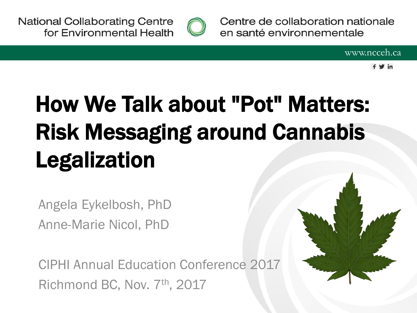**National Collaborating Centre** for Environmental Health



Centre de collaboration nationale en santé environnementale

 $f \vee in$ 

## How We Talk about "Pot" Matters: Risk Messaging around Cannabis Legalization

Angela Eykelbosh, PhD Anne-Marie Nicol, PhD

CIPHI Annual Education Conference 2017 Richmond BC, Nov. 7th, 2017

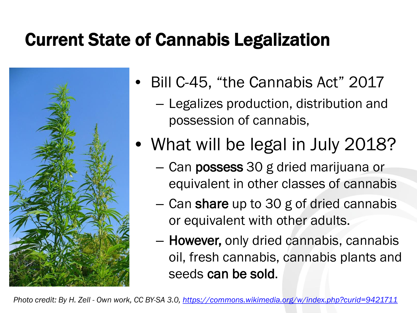#### Current State of Cannabis Legalization



- Bill C-45, "the Cannabis Act" 2017
	- Legalizes production, distribution and possession of cannabis,
- What will be legal in July 2018?
	- Can possess 30 g dried marijuana or equivalent in other classes of cannabis
	- Can share up to 30 g of dried cannabis or equivalent with other adults.
	- However, only dried cannabis, cannabis oil, fresh cannabis, cannabis plants and seeds can be sold.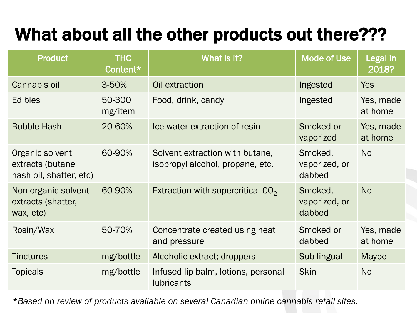#### What about all the other products out there???

| <b>Product</b>                                                 | <b>THC</b><br>Content* | What is it?                                                         | <b>Mode of Use</b>                 | Legal in<br>2018?    |
|----------------------------------------------------------------|------------------------|---------------------------------------------------------------------|------------------------------------|----------------------|
| Cannabis oil                                                   | 3-50%                  | Oil extraction                                                      | Ingested                           | <b>Yes</b>           |
| <b>Edibles</b>                                                 | 50-300<br>mg/item      | Food, drink, candy                                                  | Ingested                           | Yes, made<br>at home |
| <b>Bubble Hash</b>                                             | 20-60%                 | Ice water extraction of resin                                       | Smoked or<br>vaporized             | Yes, made<br>at home |
| Organic solvent<br>extracts (butane<br>hash oil, shatter, etc) | 60-90%                 | Solvent extraction with butane,<br>isopropyl alcohol, propane, etc. | Smoked,<br>vaporized, or<br>dabbed | <b>No</b>            |
| Non-organic solvent<br>extracts (shatter,<br>wax, etc)         | 60-90%                 | Extraction with supercritical $CO2$                                 | Smoked,<br>vaporized, or<br>dabbed | <b>No</b>            |
| Rosin/Wax                                                      | 50-70%                 | Concentrate created using heat<br>and pressure                      | Smoked or<br>dabbed                | Yes, made<br>at home |
| <b>Tinctures</b>                                               | mg/bottle              | Alcoholic extract; droppers                                         | Sub-lingual                        | Maybe                |
| <b>Topicals</b>                                                | mg/bottle              | Infused lip balm, lotions, personal<br><b>lubricants</b>            | <b>Skin</b>                        | <b>No</b>            |

*\*Based on review of products available on several Canadian online cannabis retail sites.*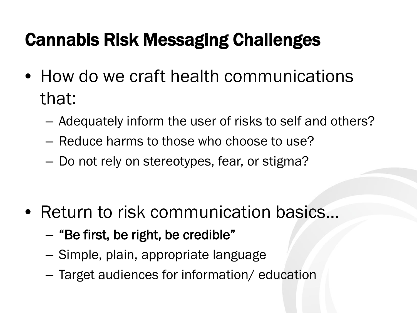#### Cannabis Risk Messaging Challenges

- How do we craft health communications that:
	- Adequately inform the user of risks to self and others?
	- Reduce harms to those who choose to use?
	- Do not rely on stereotypes, fear, or stigma?

- Return to risk communication basics...
	- "Be first, be right, be credible"
	- Simple, plain, appropriate language
	- Target audiences for information/ education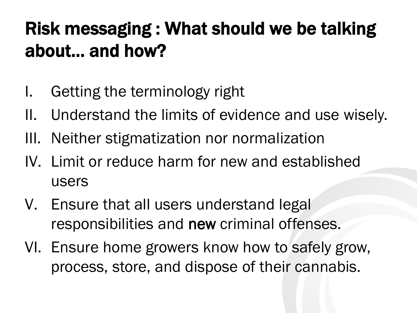### Risk messaging : What should we be talking about… and how?

- I. Getting the terminology right
- II. Understand the limits of evidence and use wisely.
- III. Neither stigmatization nor normalization
- IV. Limit or reduce harm for new and established users
- V. Ensure that all users understand legal responsibilities and new criminal offenses.
- VI. Ensure home growers know how to safely grow, process, store, and dispose of their cannabis.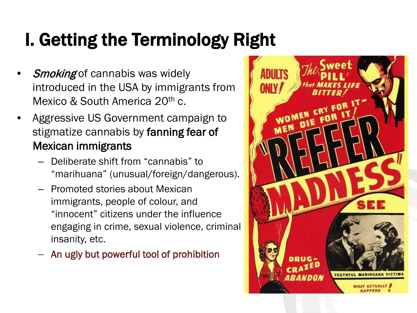### I. Getting the Terminology Right

- **Smoking** of cannabis was widely introduced in the USA by immigrants from Mexico & South America 20<sup>th</sup> c.
- Aggressive US Government campaign to stigmatize cannabis by fanning fear of Mexican immigrants
	- Deliberate shift from "cannabis" to "marihuana" (unusual/foreign/dangerous).
	- Promoted stories about Mexican immigrants, people of colour, and "innocent" citizens under the influence engaging in crime, sexual violence, criminal insanity, etc.
	- An ugly but powerful tool of prohibition

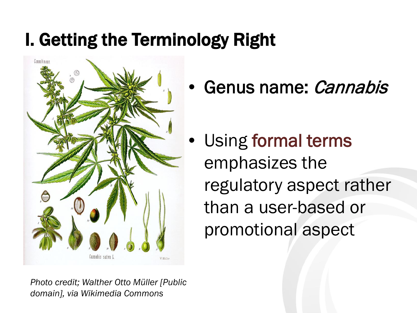#### I. Getting the Terminology Right



• Genus name: *Cannabis* 

• Using formal terms emphasizes the regulatory aspect rather than a user-based or promotional aspect

*Photo credit; Walther Otto Müller [Public domain], via Wikimedia Commons*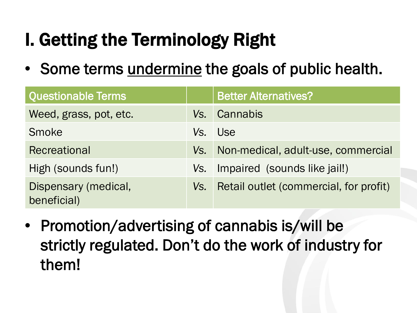### I. Getting the Terminology Right

• Some terms undermine the goals of public health.

| <b>Questionable Terms</b>           |     | <b>Better Alternatives?</b>            |
|-------------------------------------|-----|----------------------------------------|
| Weed, grass, pot, etc.              |     | Vs. Cannabis                           |
| <b>Smoke</b>                        | Vs. | <b>Use</b>                             |
| Recreational                        | Vs. | Non-medical, adult-use, commercial     |
| High (sounds fun!)                  | Vs. | Impaired (sounds like jail!)           |
| Dispensary (medical,<br>beneficial) | Vs. | Retail outlet (commercial, for profit) |

• Promotion/advertising of cannabis is/will be strictly regulated. Don't do the work of industry for them!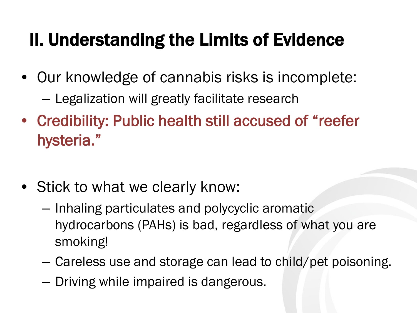#### II. Understanding the Limits of Evidence

- Our knowledge of cannabis risks is incomplete: – Legalization will greatly facilitate research
- Credibility: Public health still accused of "reefer hysteria."
- Stick to what we clearly know:
	- Inhaling particulates and polycyclic aromatic hydrocarbons (PAHs) is bad, regardless of what you are smoking!
	- Careless use and storage can lead to child/pet poisoning.
	- Driving while impaired is dangerous.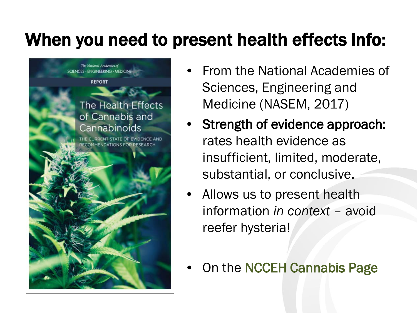#### When you need to present health effects info:



- From the National Academies of Sciences, Engineering and Medicine (NASEM, 2017)
- Strength of evidence approach: rates health evidence as insufficient, limited, moderate, substantial, or conclusive.
- Allows us to present health information *in context* – avoid reefer hysteria!
- On the NCCEH Cannabis Page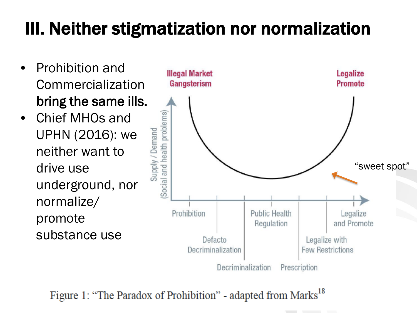### III. Neither stigmatization nor normalization

- Prohibition and Commercialization bring the same ills.
- Chief MHOs and Supply / Demand UPHN (2016): we neither want to drive use underground, nor normalize/ promote substance use



Figure 1: "The Paradox of Prohibition" - adapted from Marks<sup>18</sup>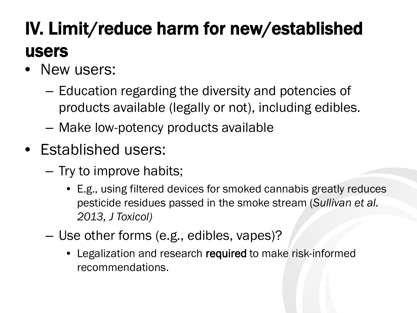### IV. Limit/reduce harm for new/established users

- New users:
	- Education regarding the diversity and potencies of products available (legally or not), including edibles.
	- Make low-potency products available
- Established users:
	- Try to improve habits;
		- E.g., using filtered devices for smoked cannabis greatly reduces pesticide residues passed in the smoke stream (*Sullivan et al. 2013, J Toxicol)*
	- Use other forms (e.g., edibles, vapes)?
		- Legalization and research required to make risk-informed recommendations.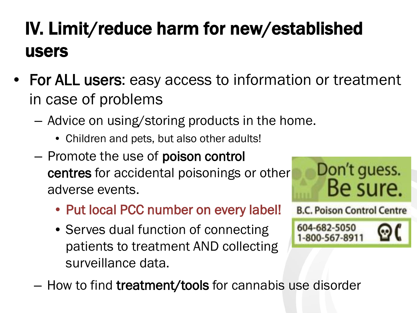### IV. Limit/reduce harm for new/established users

• For ALL users: easy access to information or treatment in case of problems

Don't guess.

**B.C. Poison Control Centre** 

604-682-5050 1-800-567-8911

Be sure.

- Advice on using/storing products in the home.
	- Children and pets, but also other adults!
- Promote the use of poison control centres for accidental poisonings or other adverse events.
	- Put local PCC number on every label!
	- Serves dual function of connecting patients to treatment AND collecting surveillance data.
- How to find treatment/tools for cannabis use disorder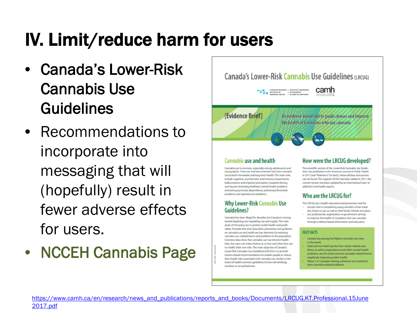#### IV. Limit/reduce harm for users

- Canada's Lower-Risk Cannabis Use Guidelines
- Recommendations to incorporate into messaging that will (hopefully) result in fewer adverse effects for users.
- NCCEH Cannabis Page



#### **Cannabis use and health**

Cannabis use is common, especially among adolescents and young adults. There are well-documented risks from cannabis use to both immediate and long-term health. The main risks include cognitive, psychomotor and memory impairments; hallucinations and impaired perception; impaired driving and injuries (including fatalities); mental health problems (including psychosis); dependence; pulmonary/bronchial problems; and reproductive problems.

#### **Why Lower-Risk Cannabis Use Guidelines?**

Cannabis has been illegal for decades, but Canada is moving toward legalizing and regulating use and supply. The main goals of this policy are to protect public health and public safety. Towards that end, education, prevention and guidance on cannabis use and health are key elements for reducing cannabis use-related harms and problems in the population. Extensive data show that cannabis use has inherent health risks, but users can make choices as to how and what they use to modify their own risks. The main objective of Canada's Lower-Risk Cannabis Use Guidelines (LRCUG) is to provide science-based recommendations to enable people to reduce their health risks associated with cannabis use, similar to the intent of health-oriented guidelines for low-risk drinking, nutrition or sexual behavior.

#### How were the LRCUG developed?

The scientific version of the Lower-Risk Cannabis Use Guidelines was published in the American Journal of Public Health in 2017 (see "Reference" on back), where all data and sources can be found. The original LRCUG had been tabled in 2011; the current version has been updated by an international team of addiction and health experts.

#### Who are the LRCUG for?

- The LRCUG are a health education and prevention tool for: · anyone who is considering using cannabis or has made
- the choice to use, as well as their family, friends and peers. · any professional, organization or government aiming
- to improve the health of Canadians who use cannabis through evidence-based information and education.

#### **FAST FACTS**

- Canada has among the highest cannabis use rates in the world.
- Fatal and non-fatal injuries from motor-vehicle accidents, as well as dependence and other mental health problems, are the most common cannabis-related harm negatively impacting public health.
- About 1 in 5 people seeking substance use treatment have cannabis-related problems.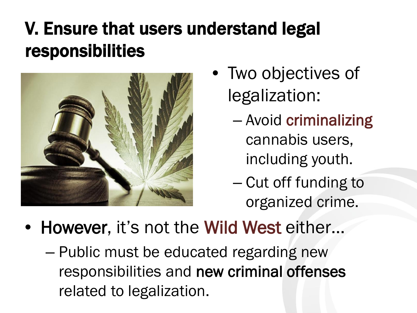### V. Ensure that users understand legal responsibilities



- Two objectives of legalization:
	- Avoid criminalizing cannabis users, including youth.
	- Cut off funding to organized crime.
- However, it's not the Wild West either...
	- Public must be educated regarding new responsibilities and new criminal offenses related to legalization.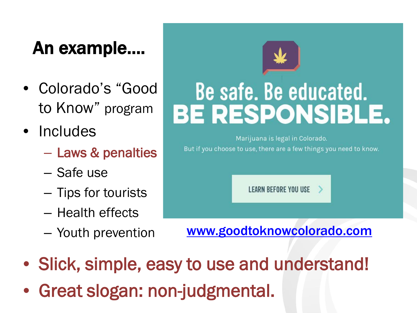#### An example….

- Colorado's "Good to Know" program
- Includes
	- Laws & penalties
	- Safe use
	- Tips for tourists
	- Health effects
	- Youth prevention

# Be safe. Be educated. **BE RESPONSIBLE.**

Marijuana is legal in Colorado. But if you choose to use, there are a few things you need to know.

**LEARN BEFORE YOU USE** 

[www.goodtoknowcolorado.com](http://www.goodtoknowcolorado.com/)

- Slick, simple, easy to use and understand!
- Great slogan: non-judgmental.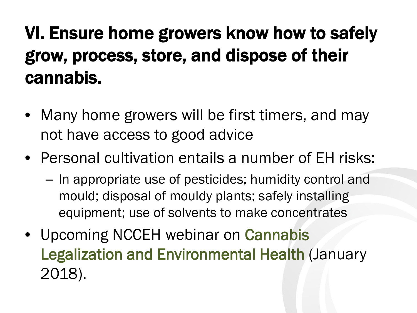### VI. Ensure home growers know how to safely grow, process, store, and dispose of their cannabis.

- Many home growers will be first timers, and may not have access to good advice
- Personal cultivation entails a number of EH risks:
	- In appropriate use of pesticides; humidity control and mould; disposal of mouldy plants; safely installing equipment; use of solvents to make concentrates
- Upcoming NCCEH webinar on Cannabis Legalization and Environmental Health (January 2018).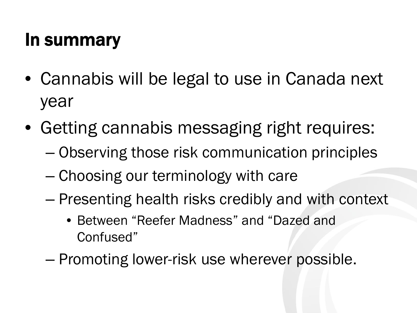#### In summary

- Cannabis will be legal to use in Canada next year
- Getting cannabis messaging right requires:
	- Observing those risk communication principles
	- Choosing our terminology with care
	- Presenting health risks credibly and with context
		- Between "Reefer Madness" and "Dazed and Confused"
	- Promoting lower-risk use wherever possible.